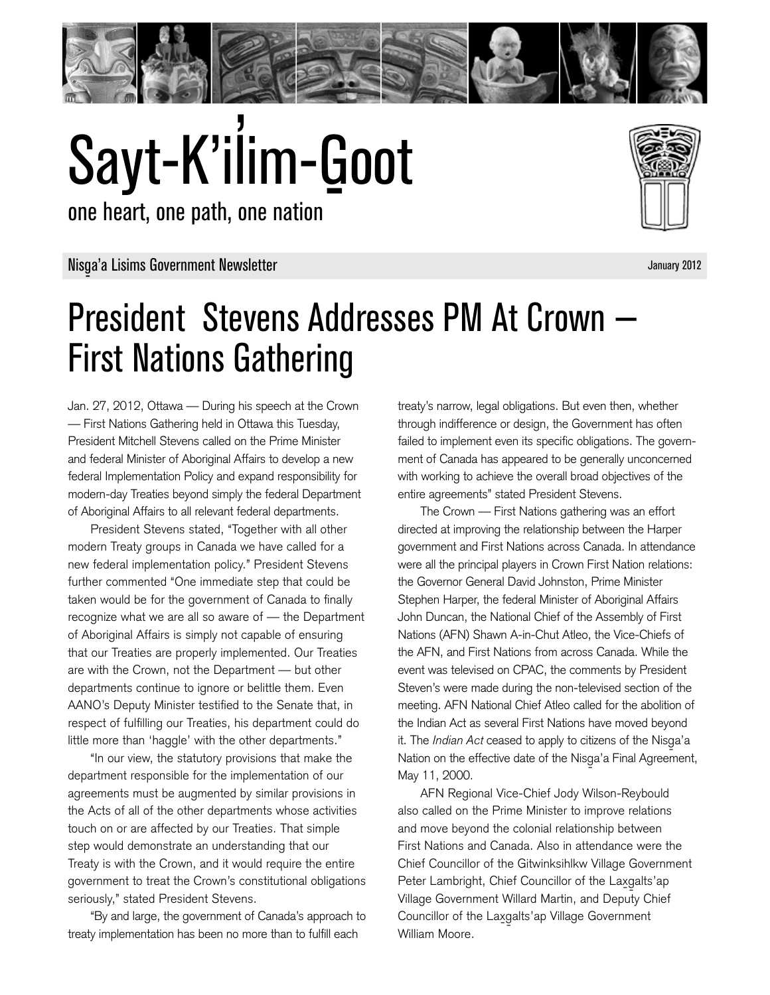## Sayt-K'ilim-Goot '

one heart, one path, one nation

Nisg <u>ุษ</u> a'a Lisims Government Newsletter January 2012 - January 2012

### President Stevens Addresses PM At Crown — First Nations Gathering

Jan. 27, 2012, Ottawa — During his speech at the Crown — First Nations Gathering held in Ottawa this Tuesday, President Mitchell Stevens called on the Prime Minister and federal Minister of Aboriginal Affairs to develop a new federal Implementation Policy and expand responsibility for modern-day Treaties beyond simply the federal Department of Aboriginal Affairs to all relevant federal departments.

President Stevens stated, "Together with all other modern Treaty groups in Canada we have called for a new federal implementation policy." President Stevens further commented "One immediate step that could be taken would be for the government of Canada to finally recognize what we are all so aware of — the Department of Aboriginal Affairs is simply not capable of ensuring that our Treaties are properly implemented. Our Treaties are with the Crown, not the Department — but other departments continue to ignore or belittle them. Even AANO's Deputy Minister testified to the Senate that, in respect of fulfilling our Treaties, his department could do little more than 'haggle' with the other departments."

"In our view, the statutory provisions that make the department responsible for the implementation of our agreements must be augmented by similar provisions in the Acts of all of the other departments whose activities touch on or are affected by our Treaties. That simple step would demonstrate an understanding that our Treaty is with the Crown, and it would require the entire government to treat the Crown's constitutional obligations seriously," stated President Stevens.

"By and large, the government of Canada's approach to treaty implementation has been no more than to fulfill each

treaty's narrow, legal obligations. But even then, whether through indifference or design, the Government has often failed to implement even its specific obligations. The government of Canada has appeared to be generally unconcerned with working to achieve the overall broad objectives of the entire agreements" stated President Stevens.

The Crown — First Nations gathering was an effort directed at improving the relationship between the Harper government and First Nations across Canada. In attendance were all the principal players in Crown First Nation relations: the Governor General David Johnston, Prime Minister Stephen Harper, the federal Minister of Aboriginal Affairs John Duncan, the National Chief of the Assembly of First Nations (AFN) Shawn A-in-Chut Atleo, the Vice-Chiefs of the AFN, and First Nations from across Canada. While the event was televised on CPAC, the comments by President Steven's were made during the non-televised section of the meeting. AFN National Chief Atleo called for the abolition of the Indian Act as several First Nations have moved beyond it. The *Indian Act* ceased to apply to citizens of the Nisg a'a na the *melaritie*: seased to apply to enterio of the thisgala.<br>Nation on the effective date of the Nisga'a Final Agreement, May 11, 2000.

AFN Regional Vice-Chief Jody Wilson-Reybould also called on the Prime Minister to improve relations and move beyond the colonial relationship between First Nations and Canada. Also in attendance were the Chief Councillor of the Gitwinksihlkw Village Government Peter Lambright, Chief Councillor of the Laxgalts'ap - Village Government Willard Martin, and Deputy Chief Councillor of the Laxgalts'ap Village Government<br>William M William Moore.





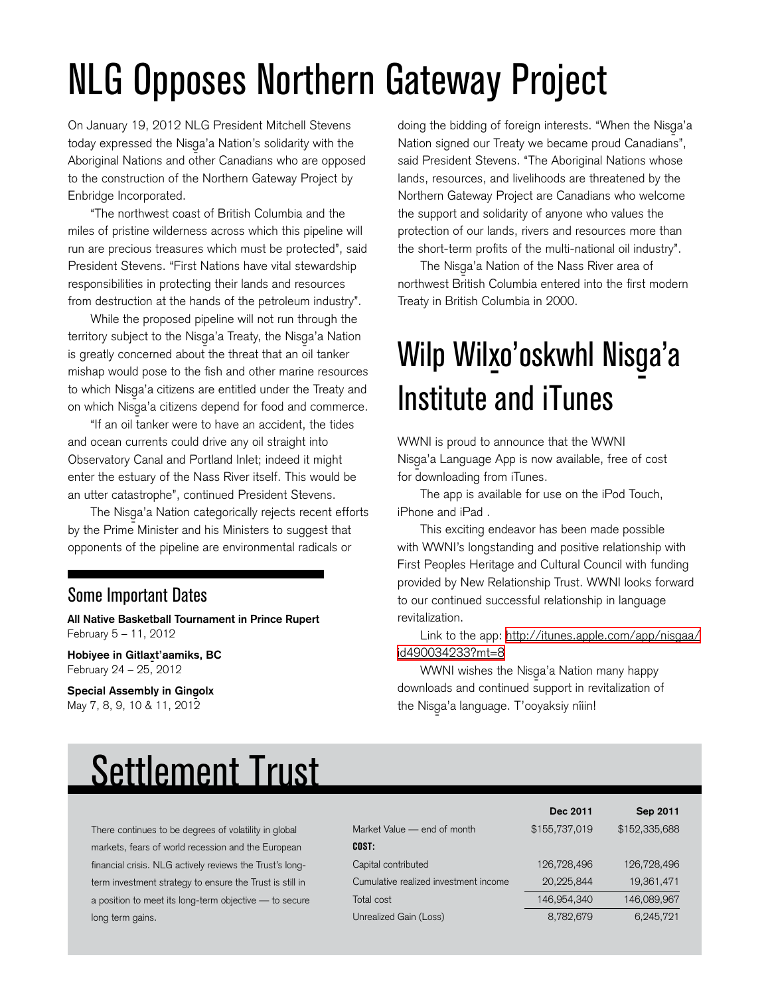## NLG Opposes Northern Gateway Project

On January 19, 2012 NLG President Mitchell Stevens today expressed the Nisg a'a Nation's solidarity with the - Aboriginal Nations and other Canadians who are opposed to the construction of the Northern Gateway Project by Enbridge Incorporated.

"The northwest coast of British Columbia and the miles of pristine wilderness across which this pipeline will run are precious treasures which must be protected", said President Stevens. "First Nations have vital stewardship responsibilities in protecting their lands and resources from destruction at the hands of the petroleum industry".

While the proposed pipeline will not run through the territory subject to the Nisg a'a Treaty, the Nisg a'a Nation - - is greatly concerned about the threat that an oil tanker mishap would pose to the fish and other marine resources to which Nisg a'a citizens are entitled under the Treaty and - on which Nisg a'a citizens depend for food and commerce.

- "If an oil tanker were to have an accident, the tides and ocean currents could drive any oil straight into Observatory Canal and Portland Inlet; indeed it might enter the estuary of the Nass River itself. This would be an utter catastrophe", continued President Stevens.

The Nisg a'a Nation categorically rejects recent efforts - by the Prime Minister and his Ministers to suggest that opponents of the pipeline are environmental radicals or

#### Some Important Dates

**All Native Basketball Tournament in Prince Rupert** February 5 – 11, 2012

**Hobiyee in Gitlax - t'aamiks, BC**  February 24 – 25, 2012

**Special Assembly in Gingolx -** May 7, 8, 9, 10 & 11, 2012

doing the bidding of foreign interests. "When the Nisg a'a - Nation signed our Treaty we became proud Canadians", said President Stevens. "The Aboriginal Nations whose lands, resources, and livelihoods are threatened by the Northern Gateway Project are Canadians who welcome the support and solidarity of anyone who values the protection of our lands, rivers and resources more than the short-term profits of the multi-national oil industry".

The Nisg a'a Nation of the Nass River area of - northwest British Columbia entered into the first modern Treaty in British Columbia in 2000.

#### Wilp Wil<u>x</u>o'oskwhl Nisga'a<br>Institute and iTunes Institute and iTunes

WWNI is proud to announce that the WWNI Nisg a'a Language App is now available, free of cost - for downloading from iTunes.

The app is available for use on the iPod Touch, iPhone and iPad .

This exciting endeavor has been made possible with WWNI's longstanding and positive relationship with First Peoples Heritage and Cultural Council with funding provided by New Relationship Trust. WWNI looks forward to our continued successful relationship in language revitalization.

Link to the app: [http://itunes.apple.com/app/nisgaa/](http://itunes.apple.com/app/nisgaa/id490034233?mt=8) [id490034233?mt=8](http://itunes.apple.com/app/nisgaa/id490034233?mt=8)

WWNI wishes the Nisg a'a Nation many happy - downloads and continued support in revitalization of the Nisg - a'a language. T'ooyaksiy nîiin!

### Settlement Trust

There continues to be degrees of volatility in global markets, fears of world recession and the European financial crisis. NLG actively reviews the Trust's longterm investment strategy to ensure the Trust is still in a position to meet its long-term objective — to secure long term gains.

|                                       | Dec 2011      | Sep 2011      |
|---------------------------------------|---------------|---------------|
| Market Value — end of month           | \$155,737,019 | \$152,335,688 |
| COST:                                 |               |               |
| Capital contributed                   | 126,728,496   | 126,728,496   |
| Cumulative realized investment income | 20.225.844    | 19,361,471    |
| Total cost                            | 146,954,340   | 146,089,967   |
| Unrealized Gain (Loss)                | 8.782.679     | 6,245,721     |
|                                       |               |               |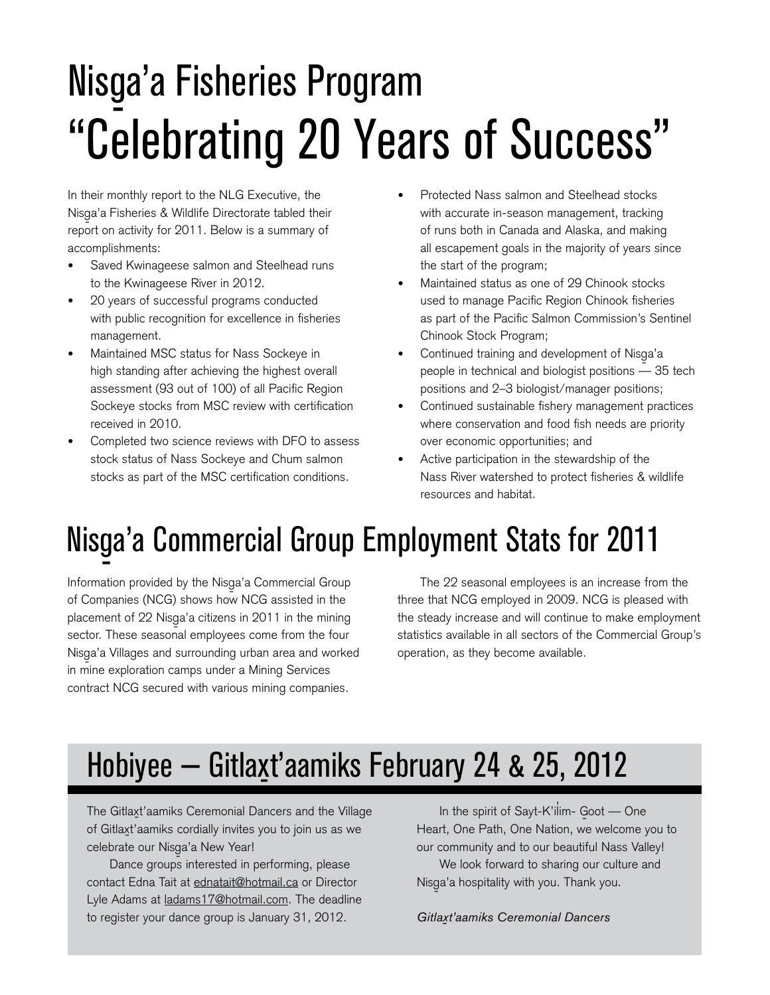## Nisga'a Fisheries Program "Celebrating 20 Years of Success"

In their monthly report to the NLG Executive, the Nisg a'a Fisheries & Wildlife Directorate tabled their - report on activity for 2011. Below is a summary of accomplishments:

- Saved Kwinageese salmon and Steelhead runs to the Kwinageese River in 2012.
- 20 years of successful programs conducted with public recognition for excellence in fisheries management.
- Maintained MSC status for Nass Sockeye in high standing after achieving the highest overall assessment (93 out of 100) of all Pacific Region Sockeye stocks from MSC review with certification received in 2010.
- Completed two science reviews with DFO to assess stock status of Nass Sockeye and Chum salmon stocks as part of the MSC certification conditions.
- Protected Nass salmon and Steelhead stocks with accurate in-season management, tracking of runs both in Canada and Alaska, and making all escapement goals in the majority of years since the start of the program;
- Maintained status as one of 29 Chinook stocks used to manage Pacific Region Chinook fisheries as part of the Pacific Salmon Commission's Sentinel Chinook Stock Program;
- • Continued training and development of Nisg a'a - people in technical and biologist positions — 35 tech positions and 2–3 biologist/manager positions;
- Continued sustainable fishery management practices where conservation and food fish needs are priority over economic opportunities; and
- Active participation in the stewardship of the Nass River watershed to protect fisheries & wildlife resources and habitat.

# Nisga'a Commercial Group Employment Stats for 2011

Information provided by the Nisg a'a Commercial Group - of Companies (NCG) shows how NCG assisted in the placement of 22 Nisg a'a citizens in 2011 in the mining - sector. These seasonal employees come from the four Nisg a'a Villages and surrounding urban area and worked - in mine exploration camps under a Mining Services contract NCG secured with various mining companies.

The 22 seasonal employees is an increase from the three that NCG employed in 2009. NCG is pleased with the steady increase and will continue to make employment statistics available in all sectors of the Commercial Group's operation, as they become available.

## Hobiyee — Gitlaxt'aamiks February 24 & 25, 2012

The Gitlax - t'aamiks Ceremonial Dancers and the Village of Gitlax - t'aamiks cordially invites you to join us as we celebrate our Nisg a'a New Year!

- Dance groups interested in performing, please contact Edna Tait at ednatait@hotmail.ca or Director Lyle Adams at ladams17@hotmail.com. The deadline to register your dance group is January 31, 2012.

In the spirit of Sayt-K'ilim-  $\frac{1}{2}$  Goot — One Heart, One Path, One Nation, we welcome you to our community and to our beautiful Nass Valley!

We look forward to sharing our culture and Nisg - a'a hospitality with you. Thank you.

*Gitlax -t'aamiks Ceremonial Dancers*